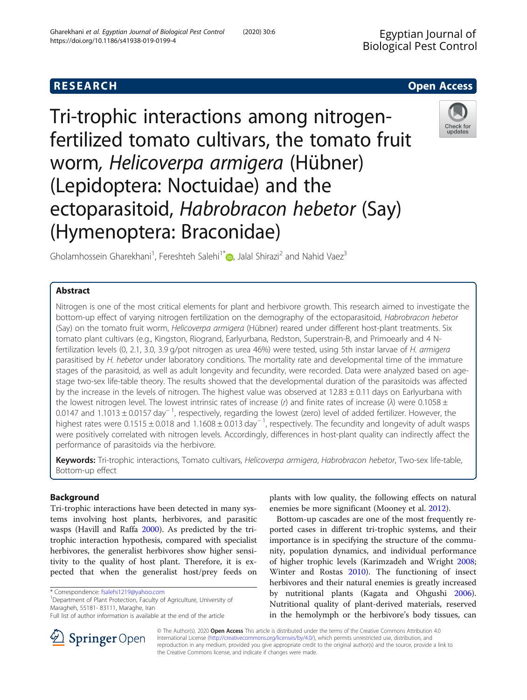# **RESEARCH CHEAR CHEAR CHEAR CHEAR CHEAR CHEAR CHEAR CHEAR CHEAR CHEAR CHEAR CHEAR CHEAR CHEAR CHEAR CHEAR CHEAR**

Tri-trophic interactions among nitrogenfertilized tomato cultivars, the tomato fruit worm, Helicoverpa armigera (Hübner) (Lepidoptera: Noctuidae) and the ectoparasitoid, Habrobracon hebetor (Say) (Hymenoptera: Braconidae)



Gholamhossein Gharekhani<sup>1</sup>[,](http://orcid.org/0000-0002-8425-1194) Fereshteh Salehi<sup>1\*</sup> , Jalal Shirazi<sup>2</sup> and Nahid Vaez<sup>3</sup>

## Abstract

Nitrogen is one of the most critical elements for plant and herbivore growth. This research aimed to investigate the bottom-up effect of varying nitrogen fertilization on the demography of the ectoparasitoid, Habrobracon hebetor (Say) on the tomato fruit worm, Helicoverpa armigera (Hübner) reared under different host-plant treatments. Six tomato plant cultivars (e.g., Kingston, Riogrand, Earlyurbana, Redston, Superstrain-B, and Primoearly and 4 Nfertilization levels (0, 2.1, 3.0, 3.9 g/pot nitrogen as urea 46%) were tested, using 5th instar larvae of H. armigera parasitised by H. hebetor under laboratory conditions. The mortality rate and developmental time of the immature stages of the parasitoid, as well as adult longevity and fecundity, were recorded. Data were analyzed based on agestage two-sex life-table theory. The results showed that the developmental duration of the parasitoids was affected by the increase in the levels of nitrogen. The highest value was observed at  $12.83 \pm 0.11$  days on Earlyurbana with the lowest nitrogen level. The lowest intrinsic rates of increase (r) and finite rates of increase ( $\lambda$ ) were 0.1058  $\pm$ 0.0147 and 1.1013 ± 0.0157 day<sup>−1</sup>, respectively, regarding the lowest (zero) level of added fertilizer. However, the highest rates were 0.1515 ± 0.018 and 1.1608 ± 0.013 day<sup>-1</sup>, respectively. The fecundity and longevity of adult wasps were positively correlated with nitrogen levels. Accordingly, differences in host-plant quality can indirectly affect the performance of parasitoids via the herbivore.

Keywords: Tri-trophic interactions, Tomato cultivars, Helicoverpa armigera, Habrobracon hebetor, Two-sex life-table, Bottom-up effect

## **Background**

Tri-trophic interactions have been detected in many systems involving host plants, herbivores, and parasitic wasps (Havill and Raffa [2000\)](#page-9-0). As predicted by the tritrophic interaction hypothesis, compared with specialist herbivores, the generalist herbivores show higher sensitivity to the quality of host plant. Therefore, it is expected that when the generalist host/prey feeds on

<sup>1</sup>Department of Plant Protection, Faculty of Agriculture, University of Maragheh, 55181- 83111, Maraghe, Iran

plants with low quality, the following effects on natural enemies be more significant (Mooney et al. [2012](#page-9-0)).

Bottom-up cascades are one of the most frequently reported cases in different tri-trophic systems, and their importance is in specifying the structure of the community, population dynamics, and individual performance of higher trophic levels (Karimzadeh and Wright [2008](#page-9-0); Winter and Rostas [2010](#page-9-0)). The functioning of insect herbivores and their natural enemies is greatly increased by nutritional plants (Kagata and Ohgushi [2006](#page-9-0)). Nutritional quality of plant-derived materials, reserved in the hemolymph or the herbivore's body tissues, can



© The Author(s). 2020 Open Access This article is distributed under the terms of the Creative Commons Attribution 4.0 International License ([http://creativecommons.org/licenses/by/4.0/\)](http://creativecommons.org/licenses/by/4.0/), which permits unrestricted use, distribution, and reproduction in any medium, provided you give appropriate credit to the original author(s) and the source, provide a link to the Creative Commons license, and indicate if changes were made.

<sup>\*</sup> Correspondence: [fsalehi1219@yahoo.com](mailto:fsalehi1219@yahoo.com) <sup>1</sup>

Full list of author information is available at the end of the article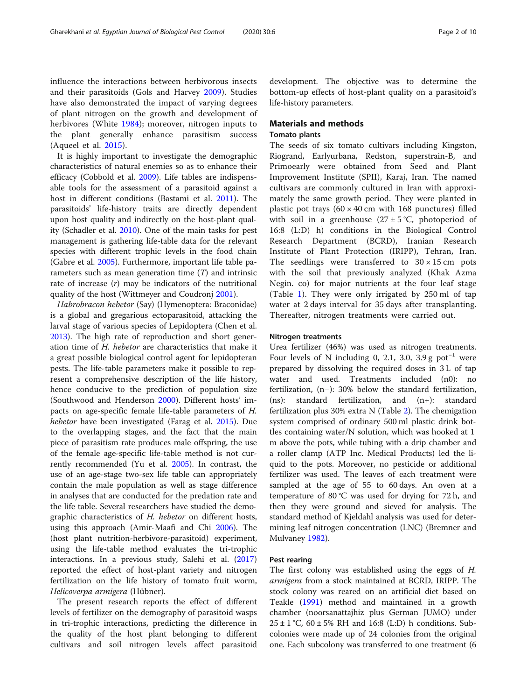influence the interactions between herbivorous insects and their parasitoids (Gols and Harvey [2009\)](#page-9-0). Studies have also demonstrated the impact of varying degrees of plant nitrogen on the growth and development of herbivores (White [1984](#page-9-0)); moreover, nitrogen inputs to the plant generally enhance parasitism success (Aqueel et al. [2015](#page-9-0)).

It is highly important to investigate the demographic characteristics of natural enemies so as to enhance their efficacy (Cobbold et al. [2009\)](#page-9-0). Life tables are indispensable tools for the assessment of a parasitoid against a host in different conditions (Bastami et al. [2011](#page-9-0)). The parasitoids' life-history traits are directly dependent upon host quality and indirectly on the host-plant quality (Schadler et al. [2010\)](#page-9-0). One of the main tasks for pest management is gathering life-table data for the relevant species with different trophic levels in the food chain (Gabre et al. [2005\)](#page-9-0). Furthermore, important life table parameters such as mean generation time  $(T)$  and intrinsic rate of increase  $(r)$  may be indicators of the nutritional quality of the host (Wittmeyer and Coudronj [2001\)](#page-9-0).

Habrobracon hebetor (Say) (Hymenoptera: Braconidae) is a global and gregarious ectoparasitoid, attacking the larval stage of various species of Lepidoptera (Chen et al. [2013](#page-9-0)). The high rate of reproduction and short generation time of H. hebetor are characteristics that make it a great possible biological control agent for lepidopteran pests. The life-table parameters make it possible to represent a comprehensive description of the life history, hence conducive to the prediction of population size (Southwood and Henderson [2000\)](#page-9-0). Different hosts' impacts on age-specific female life-table parameters of H. hebetor have been investigated (Farag et al. [2015](#page-9-0)). Due to the overlapping stages, and the fact that the main piece of parasitism rate produces male offspring, the use of the female age-specific life-table method is not currently recommended (Yu et al. [2005\)](#page-9-0). In contrast, the use of an age-stage two-sex life table can appropriately contain the male population as well as stage difference in analyses that are conducted for the predation rate and the life table. Several researchers have studied the demographic characteristics of H. hebetor on different hosts, using this approach (Amir-Maafi and Chi [2006\)](#page-9-0). The (host plant nutrition-herbivore-parasitoid) experiment, using the life-table method evaluates the tri-trophic interactions. In a previous study, Salehi et al. ([2017](#page-9-0)) reported the effect of host-plant variety and nitrogen fertilization on the life history of tomato fruit worm, Helicoverpa armigera (Hübner).

The present research reports the effect of different levels of fertilizer on the demography of parasitoid wasps in tri-trophic interactions, predicting the difference in the quality of the host plant belonging to different cultivars and soil nitrogen levels affect parasitoid development. The objective was to determine the bottom-up effects of host-plant quality on a parasitoid's life-history parameters.

## Materials and methods

## Tomato plants

The seeds of six tomato cultivars including Kingston, Riogrand, Earlyurbana, Redston, superstrain-B, and Primoearly were obtained from Seed and Plant Improvement Institute (SPII), Karaj, Iran. The named cultivars are commonly cultured in Iran with approximately the same growth period. They were planted in plastic pot trays  $(60 \times 40 \text{ cm with } 168 \text{ punctures})$  filled with soil in a greenhouse  $(27 \pm 5 \degree C,$  photoperiod of 16:8 (L:D) h) conditions in the Biological Control Research Department (BCRD), Iranian Research Institute of Plant Protection (IRIPP), Tehran, Iran. The seedlings were transferred to  $30 \times 15$  cm pots with the soil that previously analyzed (Khak Azma Negin. co) for major nutrients at the four leaf stage (Table [1](#page-2-0)). They were only irrigated by 250 ml of tap water at 2 days interval for 35 days after transplanting. Thereafter, nitrogen treatments were carried out.

#### Nitrogen treatments

Urea fertilizer (46%) was used as nitrogen treatments. Four levels of N including 0, 2.1, 3.0, 3.9 g pot<sup>-1</sup> were prepared by dissolving the required doses in 3 L of tap water and used. Treatments included (n0): no fertilization, (n−): 30% below the standard fertilization, (ns): standard fertilization, and (n+): standard fertilization plus 30% extra N (Table [2](#page-3-0)). The chemigation system comprised of ordinary 500 ml plastic drink bottles containing water/N solution, which was hooked at 1 m above the pots, while tubing with a drip chamber and a roller clamp (ATP Inc. Medical Products) led the liquid to the pots. Moreover, no pesticide or additional fertilizer was used. The leaves of each treatment were sampled at the age of 55 to 60 days. An oven at a temperature of 80 °C was used for drying for 72 h, and then they were ground and sieved for analysis. The standard method of Kjeldahl analysis was used for determining leaf nitrogen concentration (LNC) (Bremner and Mulvaney [1982](#page-9-0)).

#### Pest rearing

The first colony was established using the eggs of H. armigera from a stock maintained at BCRD, IRIPP. The stock colony was reared on an artificial diet based on Teakle ([1991](#page-9-0)) method and maintained in a growth chamber (noorsanattajhiz plus German JUMO) under  $25 \pm 1$  °C, 60  $\pm$  5% RH and 16:8 (L:D) h conditions. Subcolonies were made up of 24 colonies from the original one. Each subcolony was transferred to one treatment (6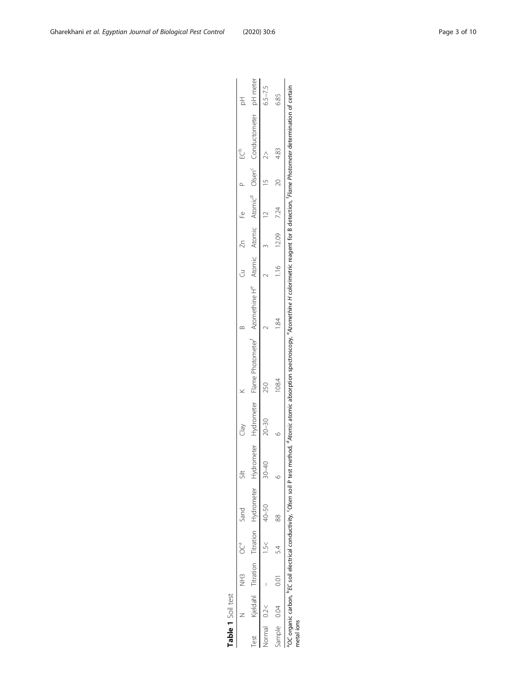|                 | ֚֚֚֬֝ |
|-----------------|-------|
| I test          |       |
| Soil<br>Table 1 |       |

<span id="page-2-0"></span>

|             |                 | NH3<br>NH3 | OC <sup>a</sup> Sand |                                           |               | $\widetilde{\vec{e}}$ |                                                                                                                                                                                                                             | മ | $\overline{a}$ | $\mathbb{E}$<br>Zn |      | e<br>EC | 공           |
|-------------|-----------------|------------|----------------------|-------------------------------------------|---------------|-----------------------|-----------------------------------------------------------------------------------------------------------------------------------------------------------------------------------------------------------------------------|---|----------------|--------------------|------|---------|-------------|
| Test        |                 |            |                      | Geldahl Titration Titration Hydrometer Hy | vdrometer     |                       | lydrometer Flame Photometer Azomethine H <sup>e</sup> Atomic Atomic Atomic <sup>d</sup> Olsen <sup>c</sup> Conductometer pH meter                                                                                           |   |                |                    |      |         |             |
| Jormal 0.2< |                 |            | $1.5 < 40 - 50$      |                                           | $\frac{1}{2}$ | $0.0 - 30$            | 250                                                                                                                                                                                                                         |   |                |                    |      |         | $6.5 - 7.5$ |
|             | ample 0.04 0.01 |            | 54<br>1              | 88                                        |               |                       | 108.4                                                                                                                                                                                                                       |   |                | 7.24               | 4.83 |         | 6.85        |
| netal ions  |                 |            |                      |                                           |               |                       | OC organic carbon, <sup>b</sup> EC soil electrical conductivity, 'Olsen soll P test method, 'Atomic absorption spectroscopy, 'Azomethine H colorimetric reagent for B detection, 'Flame Photometer determination of certain |   |                |                    |      |         |             |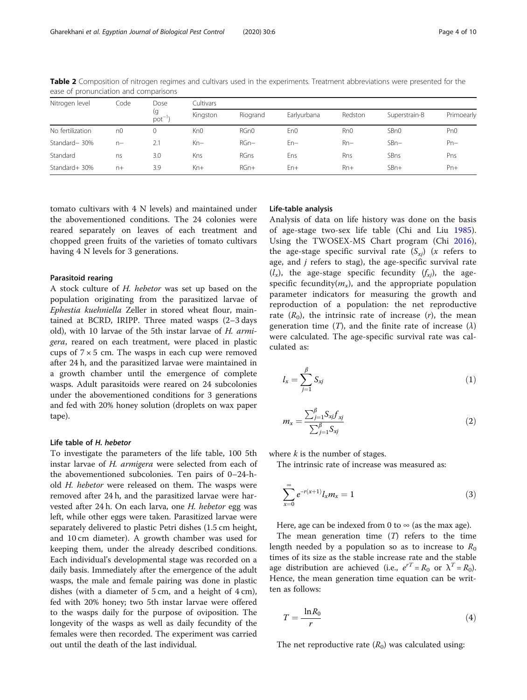| Case of profitanciation and companions |      |                          |                 |          |                 |                 |                  |                  |
|----------------------------------------|------|--------------------------|-----------------|----------|-----------------|-----------------|------------------|------------------|
| Nitrogen level                         | Code | Dose<br>(g<br>$pot^{-1}$ | Cultivars       |          |                 |                 |                  |                  |
|                                        |      |                          | Kingston        | Riogrand | Earlyurbana     | Redston         | Superstrain-B    | Primoearly       |
| No fertilization                       | n0   | U                        | Kn <sub>0</sub> | RGn0     | En <sub>0</sub> | Rn <sub>0</sub> | SB <sub>n0</sub> | P <sub>n</sub> 0 |
| Standard-30%                           | $n-$ | 2.1                      | $Kn-$           | $RGn-$   | $En-$           | $Rn-$           | $SBn-$           | $Pn-$            |
| Standard                               | ns   | 3.0                      | Kns             | RGns     | Ens             | Rns             | SBns             | Pns              |
| Standard+ 30%                          | $n+$ | 3.9                      | $Kn+$           | $RGn+$   | $En+$           | $Rn+$           | $SBn+$           | $Pn+$            |

<span id="page-3-0"></span>Table 2 Composition of nitrogen regimes and cultivars used in the experiments. Treatment abbreviations were presented for the ease of pronunciation and comparisons

tomato cultivars with 4 N levels) and maintained under the abovementioned conditions. The 24 colonies were reared separately on leaves of each treatment and chopped green fruits of the varieties of tomato cultivars having 4 N levels for 3 generations.

#### Parasitoid rearing

A stock culture of H. hebetor was set up based on the population originating from the parasitized larvae of Ephestia kuehniella Zeller in stored wheat flour, maintained at BCRD, IRIPP. Three mated wasps (2–3 days old), with 10 larvae of the 5th instar larvae of H. armigera, reared on each treatment, were placed in plastic cups of  $7 \times 5$  cm. The wasps in each cup were removed after 24 h, and the parasitized larvae were maintained in a growth chamber until the emergence of complete wasps. Adult parasitoids were reared on 24 subcolonies under the abovementioned conditions for 3 generations and fed with 20% honey solution (droplets on wax paper tape).

#### Life table of H. hebetor

To investigate the parameters of the life table, 100 5th instar larvae of H. armigera were selected from each of the abovementioned subcolonies. Ten pairs of 0–24-hold H. hebetor were released on them. The wasps were removed after 24 h, and the parasitized larvae were harvested after 24 h. On each larva, one H. hebetor egg was left, while other eggs were taken. Parasitized larvae were separately delivered to plastic Petri dishes (1.5 cm height, and 10 cm diameter). A growth chamber was used for keeping them, under the already described conditions. Each individual's developmental stage was recorded on a daily basis. Immediately after the emergence of the adult wasps, the male and female pairing was done in plastic dishes (with a diameter of 5 cm, and a height of 4 cm), fed with 20% honey; two 5th instar larvae were offered to the wasps daily for the purpose of oviposition. The longevity of the wasps as well as daily fecundity of the females were then recorded. The experiment was carried out until the death of the last individual.

#### Life-table analysis

Analysis of data on life history was done on the basis of age-stage two-sex life table (Chi and Liu [1985](#page-9-0)). Using the TWOSEX-MS Chart program (Chi [2016](#page-9-0)), the age-stage specific survival rate  $(S_{xi})$  (x refers to age, and  $j$  refers to stag), the age-specific survival rate  $(l_x)$ , the age-stage specific fecundity  $(f_{xi})$ , the agespecific fecundity( $m<sub>x</sub>$ ), and the appropriate population parameter indicators for measuring the growth and reproduction of a population: the net reproductive rate  $(R_0)$ , the intrinsic rate of increase  $(r)$ , the mean generation time (T), and the finite rate of increase ( $\lambda$ ) were calculated. The age-specific survival rate was calculated as:

$$
l_x = \sum_{j=1}^{\beta} S_{xj} \tag{1}
$$

$$
m_x = \frac{\sum_{j=1}^{\beta} S_{xj} f_{xj}}{\sum_{j=1}^{\beta} S_{xj}}
$$
\n(2)

where  $k$  is the number of stages.

The intrinsic rate of increase was measured as:

$$
\sum_{x=0}^{\infty} e^{-r(x+1)} l_x m_x = 1
$$
 (3)

Here, age can be indexed from 0 to  $\infty$  (as the max age).

The mean generation time  $(T)$  refers to the time length needed by a population so as to increase to  $R_0$ times of its size as the stable increase rate and the stable age distribution are achieved (i.e.,  $e^{rT} = R_0$  or  $\lambda^T = R_0$ ). Hence, the mean generation time equation can be written as follows:

$$
T = \frac{\ln R_0}{r} \tag{4}
$$

The net reproductive rate  $(R_0)$  was calculated using: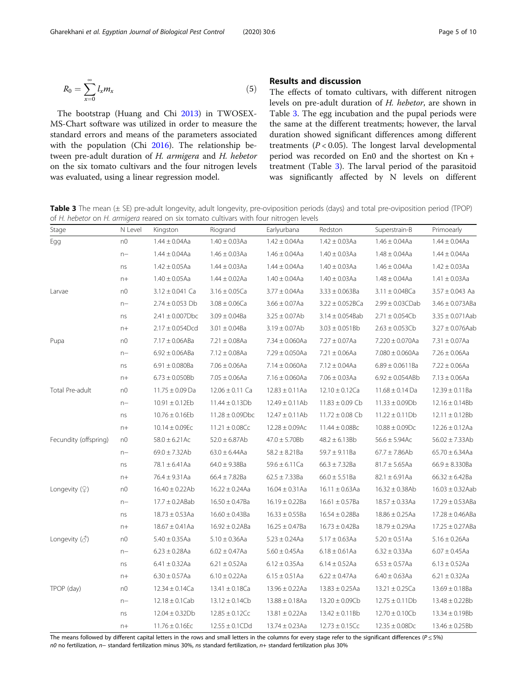<span id="page-4-0"></span>
$$
R_0 = \sum_{x=0}^{\infty} l_x m_x \tag{5}
$$

The bootstrap (Huang and Chi [2013](#page-9-0)) in TWOSEX-MS-Chart software was utilized in order to measure the standard errors and means of the parameters associated with the population (Chi [2016](#page-9-0)). The relationship between pre-adult duration of H. armigera and H. hebetor on the six tomato cultivars and the four nitrogen levels was evaluated, using a linear regression model.

## Results and discussion

The effects of tomato cultivars, with different nitrogen levels on pre-adult duration of H. hebetor, are shown in Table 3. The egg incubation and the pupal periods were the same at the different treatments; however, the larval duration showed significant differences among different treatments ( $P < 0.05$ ). The longest larval developmental period was recorded on En0 and the shortest on Kn + treatment (Table 3). The larval period of the parasitoid was significantly affected by N levels on different

**Table 3** The mean  $(\pm 5E)$  pre-adult longevity, adult longevity, pre-oviposition periods (days) and total pre-oviposition period (TPOP) of H. hebetor on H. armigera reared on six tomato cultivars with four nitrogen levels

| Stage                 | N Level | Kingston             | Riogrand                   | Earlyurbana         | Redston              | Superstrain-B        | Primoearly           |
|-----------------------|---------|----------------------|----------------------------|---------------------|----------------------|----------------------|----------------------|
| Egg                   | n0      | $1.44 \pm 0.04$ Aa   | $1.40 \pm 0.03$ Aa         | $1.42 \pm 0.04$ Aa  | $1.42 \pm 0.03$ Aa   | $1.46 \pm 0.04$ Aa   | $1.44 \pm 0.04$ Aa   |
|                       | $n-$    | $1.44 \pm 0.04$ Aa   | $1.46 \pm 0.03$ Aa         | $1.46 \pm 0.04$ Aa  | $1.40 \pm 0.03$ Aa   | $1.48 \pm 0.04$ Aa   | $1.44 \pm 0.04$ Aa   |
|                       | ns      | $1.42 \pm 0.05$ Aa   | $1.44 \pm 0.03$ Aa         | $1.44 \pm 0.04$ Aa  | $1.40 \pm 0.03$ Aa   | $1.46 \pm 0.04$ Aa   | $1.42 \pm 0.03$ Aa   |
|                       | $n+$    | $1.40 \pm 0.05$ Aa   | $1.44 \pm 0.02$ Aa         | $1.40 \pm 0.04$ Aa  | $1.40 \pm 0.03$ Aa   | $1.48 \pm 0.04$ Aa   | $1.41 \pm 0.03$ Aa   |
| Larvae                | n0      | $3.12 \pm 0.041$ Ca  | $3.16 \pm 0.05$ Ca         | $3.77 \pm 0.04$ Aa  | $3.33 \pm 0.063$ Ba  | $3.11 \pm 0.04$ BCa  | $3.57 \pm 0.043$ Aa  |
|                       | $n-$    | $2.74 \pm 0.053$ Db  | $3.08 \pm 0.06$ Ca         | $3.66 \pm 0.07$ Aa  | $3.22 \pm 0.052BCa$  | $2.99 \pm 0.03$ CDab | $3.46 \pm 0.073$ ABa |
|                       | ns      | $2.41 \pm 0.007$ Dbc | $3.09 \pm 0.04$ Ba         | $3.25 \pm 0.07$ Ab  | $3.14 \pm 0.054$ Bab | $2.71 \pm 0.054$ Cb  | $3.35 \pm 0.071$ Aab |
|                       | $n+$    | $2.17 \pm 0.054$ Dcd | $3.01 \pm 0.04$ Ba         | $3.19 \pm 0.07$ Ab  | $3.03 \pm 0.051$ Bb  | $2.63 \pm 0.053$ Cb  | $3.27 \pm 0.076$ Aab |
| Pupa                  | n0      | $7.17 \pm 0.06$ ABa  | $7.21 \pm 0.08$ Aa         | $7.34 \pm 0.060$ Aa | $7.27 \pm 0.07$ Aa   | $7.220 \pm 0.070$ Aa | $7.31 \pm 0.07$ Aa   |
|                       | $n-$    | $6.92 \pm 0.06$ ABa  | $7.12 \pm 0.08$ Aa         | $7.29 \pm 0.050$ Aa | $7.21 \pm 0.06$ Aa   | $7.080 \pm 0.060$ Aa | $7.26 \pm 0.06$ Aa   |
|                       | ns      | $6.91 \pm 0.080$ Ba  | $7.06 \pm 0.06$ Aa         | $7.14 \pm 0.060$ Aa | $7.12 \pm 0.04$ Aa   | $6.89 \pm 0.0611$ Ba | $7.22 \pm 0.06$ Aa   |
|                       | $n+$    | $6.73 \pm 0.050$ Bb  | $7.05 \pm 0.06$ Aa         | $7.16 \pm 0.060$ Aa | $7.06 \pm 0.03$ Aa   | $6.92 \pm 0.054$ ABb | $7.13 \pm 0.06$ Aa   |
| Total Pre-adult       | n0      | $11.75 \pm 0.09$ Da  | $12.06 \pm 0.11$ Ca        | $12.83 \pm 0.11$ Aa | $12.10 \pm 0.12$ Ca  | $11.68 \pm 0.14$ Da  | $12.39 \pm 0.11$ Ba  |
|                       | $n-$    | $10.91 \pm 0.12$ Eb  | $11.44 \pm 0.13$ Db        | $12.49 \pm 0.11$ Ab | $11.83 \pm 0.09$ Cb  | $11.33 \pm 0.09$ Db  | $12.16 \pm 0.14Bb$   |
|                       | ns      | $10.76 \pm 0.16$ Eb  | $11.28 \pm 0.09$ Dbc       | $12.47 \pm 0.11$ Ab | $11.72 \pm 0.08$ Cb  | $11.22 \pm 0.11$ Db  | $12.11 \pm 0.12Bb$   |
|                       | $n+$    | $10.14 \pm 0.09$ Ec  | $11.21 \pm 0.08$ Cc        | $12.28 \pm 0.09$ Ac | $11.44 \pm 0.08$ Bc  | $10.88 \pm 0.09$ Dc  | $12.26 \pm 0.12$ Aa  |
| Fecundity (offspring) | n0      | $58.0 \pm 6.21$ Ac   | $52.0 \pm 6.87$ Ab         | $47.0 \pm 5.70$ Bb  | $48.2 \pm 6.13$ Bb   | $56.6 \pm 5.94$ Ac   | $56.02 \pm 7.33$ Ab  |
|                       | $n-$    | $69.0 \pm 7.32$ Ab   | $63.0 \pm 6.44$ Aa         | $58.2 \pm 8.21$ Ba  | $59.7 \pm 9.11$ Ba   | $67.7 \pm 7.86$ Ab   | $65.70 \pm 6.34$ Aa  |
|                       | ns      | 78.1 ± 6.41 Aa       | $64.0 \pm 9.38$ Ba         | $59.6 \pm 6.11$ Ca  | $66.3 \pm 7.32$ Ba   | $81.7 \pm 5.65$ Aa   | $66.9 \pm 8.330$ Ba  |
|                       | $n+$    | $76.4 \pm 9.31$ Aa   | $66.4 \pm 7.82$ Ba         | $62.5 \pm 7.33$ Ba  | $66.0 \pm 5.51$ Ba   | $82.1 \pm 6.91$ Aa   | $66.32 \pm 6.42$ Ba  |
| Longevity $(\varphi)$ | n0      | $16.40 \pm 0.22$ Ab  | $16.22 \pm 0.24$ Aa        | $16.04 \pm 0.31$ Aa | $16.11 \pm 0.63$ Aa  | $16.32 \pm 0.38$ Ab  | $16.03 \pm 0.32$ Aab |
|                       | $n-$    | $17.7 \pm 0.2$ ABab  | $16.50 \pm 0.47$ Ba        | $16.19 \pm 0.22$ Ba | $16.61 \pm 0.57$ Ba  | $18.57 \pm 0.33$ Aa  | $17.29 \pm 0.53$ ABa |
|                       | ns      | $18.73 \pm 0.53$ Aa  | $16.60 \pm 0.43$ Ba        | $16.33 \pm 0.55$ Ba | $16.54 \pm 0.28$ Ba  | $18.86 \pm 0.25$ Aa  | $17.28 \pm 0.46$ ABa |
|                       | $n+$    | $18.67 \pm 0.41$ Aa  | $16.92 \pm 0.2$ ABa        | $16.25 \pm 0.47$ Ba | $16.73 \pm 0.42$ Ba  | $18.79 \pm 0.29$ Aa  | $17.25 \pm 0.27$ ABa |
| Longevity $(\vec{c})$ | n0      | $5.40 \pm 0.35$ Aa   | $5.10 \pm 0.36$ Aa         | $5.23 \pm 0.24$ Aa  | $5.17 \pm 0.63$ Aa   | $5.20 \pm 0.51$ Aa   | $5.16 \pm 0.26$ Aa   |
|                       | $n-$    | $6.23 \pm 0.28$ Aa   | $6.02 \pm 0.47$ Aa         | $5.60 \pm 0.45$ Aa  | $6.18 \pm 0.61$ Aa   | $6.32 \pm 0.33$ Aa   | $6.07 \pm 0.45$ Aa   |
|                       | ns      | $6.41 \pm 0.32$ Aa   | $6.21 \pm 0.52$ Aa         | $6.12 \pm 0.35$ Aa  | $6.14 \pm 0.52$ Aa   | $6.53 \pm 0.57$ Aa   | $6.13 \pm 0.52$ Aa   |
|                       | $n+$    | $6.30 \pm 0.57$ Aa   | $6.10 \pm 0.22$ Aa         | $6.15 \pm 0.51$ Aa  | $6.22 \pm 0.47$ Aa   | $6.40 \pm 0.63$ Aa   | $6.21 \pm 0.32$ Aa   |
| TPOP (day)            | n0      | $12.34 \pm 0.14$ Ca  | $13.41 \pm 0.18$ Ca        | $13.96 \pm 0.22$ Aa | $13.83 \pm 0.25$ Aa  | $13.21 \pm 0.25$ Ca  | $13.69 \pm 0.18$ Ba  |
|                       | $n-$    | $12.18 \pm 0.1$ Cab  | $13.12 \pm 0.14$ Cb        | $13.88 \pm 0.18$ Aa | $13.20 \pm 0.09$ Cb  | $12.75 \pm 0.11$ Db  | $13.48 \pm 0.22Bb$   |
|                       | ns      | $12.04 \pm 0.32$ Db  | $12.85 \pm 0.12$ Cc        | $13.81 \pm 0.22$ Aa | $13.42 \pm 0.11$ Bb  | $12.70 \pm 0.10$ Cb  | $13.34 \pm 0.19Bb$   |
|                       | $n+$    | $11.76 \pm 0.16$ Ec  | $12.55 \pm 0.1 \text{CDd}$ | $13.74 \pm 0.23$ Aa | $12.73 \pm 0.15$ Cc  | $12.35 \pm 0.08$ Dc  | $13.46 \pm 0.25Bb$   |

The means followed by different capital letters in the rows and small letters in the columns for every stage refer to the significant differences ( $P \le 5\%$ ) n0 no fertilization, n<sup>−</sup> standard fertilization minus 30%, ns standard fertilization, n+ standard fertilization plus 30%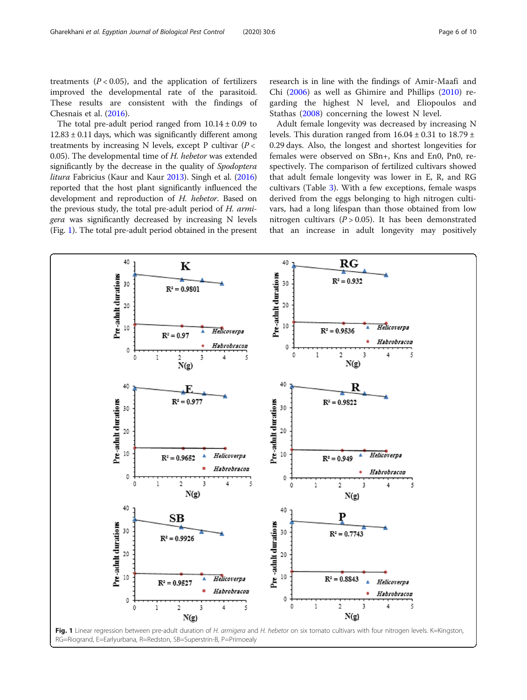treatments  $(P < 0.05)$ , and the application of fertilizers improved the developmental rate of the parasitoid. These results are consistent with the findings of Chesnais et al. ([2016](#page-9-0)).

The total pre-adult period ranged from  $10.14 \pm 0.09$  to  $12.83 \pm 0.11$  days, which was significantly different among treatments by increasing N levels, except P cultivar ( $P <$ 0.05). The developmental time of H. hebetor was extended significantly by the decrease in the quality of Spodoptera litura Fabricius (Kaur and Kaur [2013\)](#page-9-0). Singh et al. [\(2016](#page-9-0)) reported that the host plant significantly influenced the development and reproduction of H. hebetor. Based on the previous study, the total pre-adult period of H. armigera was significantly decreased by increasing N levels (Fig. 1). The total pre-adult period obtained in the present

research is in line with the findings of Amir-Maafi and Chi [\(2006](#page-9-0)) as well as Ghimire and Phillips ([2010](#page-9-0)) regarding the highest N level, and Eliopoulos and Stathas ([2008\)](#page-9-0) concerning the lowest N level.

Adult female longevity was decreased by increasing N levels. This duration ranged from  $16.04 \pm 0.31$  to  $18.79 \pm 1.0$ 0.29 days. Also, the longest and shortest longevities for females were observed on SBn+, Kns and En0, Pn0, respectively. The comparison of fertilized cultivars showed that adult female longevity was lower in E, R, and RG cultivars (Table [3](#page-4-0)). With a few exceptions, female wasps derived from the eggs belonging to high nitrogen cultivars, had a long lifespan than those obtained from low nitrogen cultivars ( $P > 0.05$ ). It has been demonstrated that an increase in adult longevity may positively

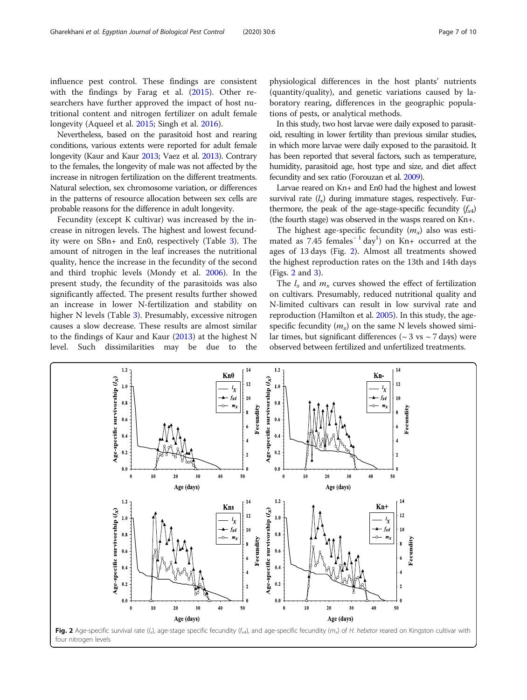influence pest control. These findings are consistent with the findings by Farag et al. ([2015](#page-9-0)). Other researchers have further approved the impact of host nutritional content and nitrogen fertilizer on adult female longevity (Aqueel et al. [2015;](#page-9-0) Singh et al. [2016\)](#page-9-0).

Nevertheless, based on the parasitoid host and rearing conditions, various extents were reported for adult female longevity (Kaur and Kaur [2013](#page-9-0); Vaez et al. [2013](#page-9-0)). Contrary to the females, the longevity of male was not affected by the increase in nitrogen fertilization on the different treatments. Natural selection, sex chromosome variation, or differences in the patterns of resource allocation between sex cells are probable reasons for the difference in adult longevity.

Fecundity (except K cultivar) was increased by the increase in nitrogen levels. The highest and lowest fecundity were on SBn+ and En0, respectively (Table [3\)](#page-4-0). The amount of nitrogen in the leaf increases the nutritional quality, hence the increase in the fecundity of the second and third trophic levels (Mondy et al. [2006](#page-9-0)). In the present study, the fecundity of the parasitoids was also significantly affected. The present results further showed an increase in lower N-fertilization and stability on higher N levels (Table [3](#page-4-0)). Presumably, excessive nitrogen causes a slow decrease. These results are almost similar to the findings of Kaur and Kaur [\(2013\)](#page-9-0) at the highest N level. Such dissimilarities may be due to the physiological differences in the host plants' nutrients (quantity/quality), and genetic variations caused by laboratory rearing, differences in the geographic populations of pests, or analytical methods.

In this study, two host larvae were daily exposed to parasitoid, resulting in lower fertility than previous similar studies, in which more larvae were daily exposed to the parasitoid. It has been reported that several factors, such as temperature, humidity, parasitoid age, host type and size, and diet affect fecundity and sex ratio (Forouzan et al. [2009\)](#page-9-0).

Larvae reared on Kn+ and En0 had the highest and lowest survival rate  $(l_x)$  during immature stages, respectively. Furthermore, the peak of the age-stage-specific fecundity  $(f_{x4})$ (the fourth stage) was observed in the wasps reared on Kn+.

The highest age-specific fecundity  $(m_x)$  also was estimated as 7.45 females<sup>-1</sup> day<sup>1</sup>) on Kn+ occurred at the ages of 13 days (Fig. 2). Almost all treatments showed the highest reproduction rates on the 13th and 14th days (Figs. 2 and [3\)](#page-7-0).

The  $l_x$  and  $m_x$  curves showed the effect of fertilization on cultivars. Presumably, reduced nutritional quality and N-limited cultivars can result in low survival rate and reproduction (Hamilton et al. [2005](#page-9-0)). In this study, the agespecific fecundity  $(m_x)$  on the same N levels showed similar times, but significant differences ( $\sim$  3 vs  $\sim$  7 days) were observed between fertilized and unfertilized treatments.

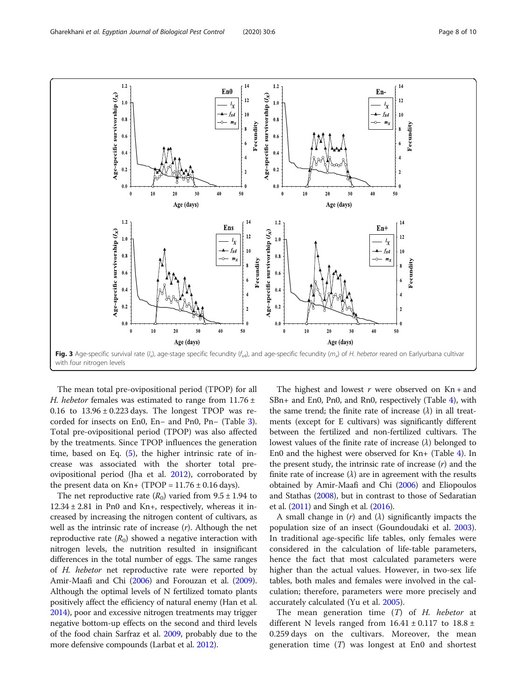<span id="page-7-0"></span>

The mean total pre-ovipositional period (TPOP) for all H. hebetor females was estimated to range from  $11.76 \pm 10$ 0.16 to  $13.96 \pm 0.223$  days. The longest TPOP was recorded for insects on En0, En− and Pn0, Pn− (Table [3](#page-4-0)). Total pre-ovipositional period (TPOP) was also affected by the treatments. Since TPOP influences the generation time, based on Eq. [\(5](#page-4-0)), the higher intrinsic rate of increase was associated with the shorter total preovipositional period (Jha et al. [2012\)](#page-9-0), corroborated by the present data on  $Kn+$  (TPOP = 11.76  $\pm$  0.16 days).

The net reproductive rate  $(R_0)$  varied from  $9.5 \pm 1.94$  to  $12.34 \pm 2.81$  in Pn0 and Kn+, respectively, whereas it increased by increasing the nitrogen content of cultivars, as well as the intrinsic rate of increase  $(r)$ . Although the net reproductive rate  $(R_0)$  showed a negative interaction with nitrogen levels, the nutrition resulted in insignificant differences in the total number of eggs. The same ranges of H. hebetor net reproductive rate were reported by Amir-Maafi and Chi ([2006\)](#page-9-0) and Forouzan et al. [\(2009](#page-9-0)). Although the optimal levels of N fertilized tomato plants positively affect the efficiency of natural enemy (Han et al. [2014\)](#page-9-0), poor and excessive nitrogen treatments may trigger negative bottom-up effects on the second and third levels of the food chain Sarfraz et al. [2009](#page-9-0), probably due to the more defensive compounds (Larbat et al. [2012\)](#page-9-0).

The highest and lowest  $r$  were observed on  $Kn +$  and SBn+ and En0, Pn0, and Rn0, respectively (Table [4\)](#page-8-0), with the same trend; the finite rate of increase  $(\lambda)$  in all treatments (except for E cultivars) was significantly different between the fertilized and non-fertilized cultivars. The lowest values of the finite rate of increase  $(\lambda)$  belonged to En0 and the highest were observed for Kn+ (Table [4](#page-8-0)). In the present study, the intrinsic rate of increase  $(r)$  and the finite rate of increase  $(\lambda)$  are in agreement with the results obtained by Amir-Maafi and Chi [\(2006\)](#page-9-0) and Eliopoulos and Stathas ([2008](#page-9-0)), but in contrast to those of Sedaratian et al. [\(2011\)](#page-9-0) and Singh et al. ([2016\)](#page-9-0).

A small change in  $(r)$  and  $(\lambda)$  significantly impacts the population size of an insect (Goundoudaki et al. [2003](#page-9-0)). In traditional age-specific life tables, only females were considered in the calculation of life-table parameters, hence the fact that most calculated parameters were higher than the actual values. However, in two-sex life tables, both males and females were involved in the calculation; therefore, parameters were more precisely and accurately calculated (Yu et al. [2005](#page-9-0)).

The mean generation time  $(T)$  of H. hebetor at different N levels ranged from  $16.41 \pm 0.117$  to  $18.8 \pm 1.17$ 0.259 days on the cultivars. Moreover, the mean generation time  $(T)$  was longest at En0 and shortest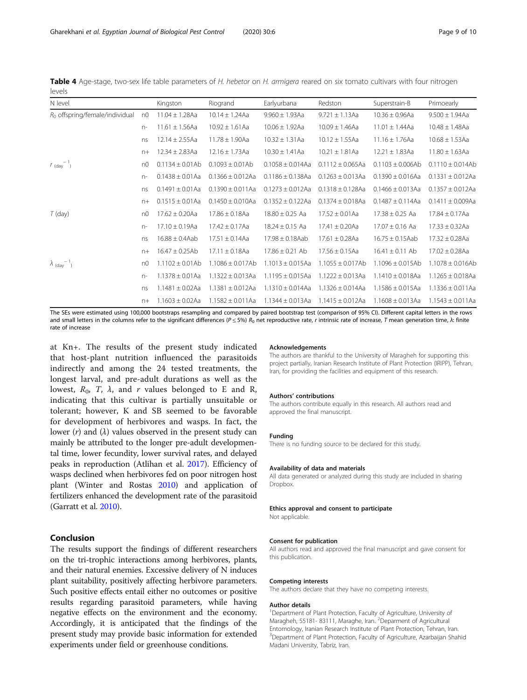The SEs were estimated using 100,000 bootstraps resampling and compared by paired bootstrap test (comparison of 95% CI). Different capital letters in the rows and small letters in the columns refer to the significant differences ( $P \le 5\%$ )  $R_0$  net reproductive rate, r intrinsic rate of increase, T mean generation time,  $\lambda$ : finite rate of increase

at Kn+. The results of the present study indicated that host-plant nutrition influenced the parasitoids indirectly and among the 24 tested treatments, the longest larval, and pre-adult durations as well as the lowest,  $R_0$ , T,  $\lambda$ , and r values belonged to E and R, indicating that this cultivar is partially unsuitable or tolerant; however, K and SB seemed to be favorable for development of herbivores and wasps. In fact, the lower  $(r)$  and  $(\lambda)$  values observed in the present study can mainly be attributed to the longer pre-adult developmental time, lower fecundity, lower survival rates, and delayed peaks in reproduction (Atlihan et al. [2017](#page-9-0)). Efficiency of wasps declined when herbivores fed on poor nitrogen host plant (Winter and Rostas [2010](#page-9-0)) and application of fertilizers enhanced the development rate of the parasitoid (Garratt et al. [2010](#page-9-0)).

## Conclusion

The results support the findings of different researchers on the tri-trophic interactions among herbivores, plants, and their natural enemies. Excessive delivery of N induces plant suitability, positively affecting herbivore parameters. Such positive effects entail either no outcomes or positive results regarding parasitoid parameters, while having negative effects on the environment and the economy. Accordingly, it is anticipated that the findings of the present study may provide basic information for extended experiments under field or greenhouse conditions.

#### Acknowledgements

The authors are thankful to the University of Maragheh for supporting this project partially, Iranian Research Institute of Plant Protection (IRIPP), Tehran, Iran, for providing the facilities and equipment of this research.

#### Authors' contributions

The authors contribute equally in this research. All authors read and approved the final manuscript.

#### Funding

There is no funding source to be declared for this study.

#### Availability of data and materials

All data generated or analyzed during this study are included in sharing Dropbox.

#### Ethics approval and consent to participate

Not applicable.

#### Consent for publication

All authors read and approved the final manuscript and gave consent for this publication.

#### Competing interests

The authors declare that they have no competing interests.

#### Author details

<sup>1</sup>Department of Plant Protection, Faculty of Agriculture, University of Maragheh, 55181- 83111, Maraghe, Iran. <sup>2</sup>Deparment of Agricultural Entomology, Iranian Research Institute of Plant Protection, Tehran, Iran. <sup>3</sup>Department of Plant Protection, Faculty of Agriculture, Azarbaijan Shahid Madani University, Tabriz, Iran.

<span id="page-8-0"></span>Table 4 Age-stage, two-sex life table parameters of H. hebetor on H. armigera reared on six tomato cultivars with four nitrogen levels

| N level                           |                | Kingston             | Riogrand              | Earlyurbana           | Redston               | Superstrain-B         | Primoearly            |
|-----------------------------------|----------------|----------------------|-----------------------|-----------------------|-----------------------|-----------------------|-----------------------|
| $R_0$ offspring/female/individual | n <sub>0</sub> | $11.04 \pm 1.28$ Aa  | $10.14 \pm 1.24$ Aa   | $9.960 \pm 1.93$ Aa   | $9.721 \pm 1.13$ Aa   | $10.36 \pm 0.96$ Aa   | $9.500 \pm 1.94$ Aa   |
|                                   | $n-$           | $11.61 \pm 1.56$ Aa  | $10.92 \pm 1.61$ Aa   | $10.06 \pm 1.92$ Aa   | $10.09 \pm 1.46$ Aa   | $11.01 \pm 1.44$ Aa   | $10.48 \pm 1.48$ Aa   |
|                                   | ns             | 12.14 ± 2.55Aa       | $11.78 \pm 1.90$ Aa   | $10.32 \pm 1.31$ Aa   | $10.12 \pm 1.55$ Aa   | $11.16 \pm 1.76$ Aa   | $10.68 \pm 1.53$ Aa   |
|                                   | $n+$           | $12.34 \pm 2.83$ Aa  | $12.16 \pm 1.73$ Aa   | $10.30 \pm 1.41$ Aa   | $10.21 \pm 1.81$ Aa   | $12.21 \pm 1.83$ Aa   | $11.80 \pm 1.63$ Aa   |
| $r \frac{-1}{(day)}$              | n0             | $0.1134 \pm 0.01Ab$  | $0.1093 \pm 0.01Ab$   | $0.1058 \pm 0.014$ Aa | $0.1112 \pm 0.065$ Aa | $0.1103 \pm 0.006Ab$  | $0.1110 \pm 0.014$ Ab |
|                                   | $n-$           | $0.1438 \pm 0.01$ Aa | $0.1366 \pm 0.012$ Aa | $0.1186 + 0.138$ Aa   | $0.1263 \pm 0.013$ Aa | $0.1390 \pm 0.016$ Aa | $0.1331 \pm 0.012$ Aa |
|                                   | ns             | $0.1491 \pm 0.01$ Aa | $0.1390 \pm 0.011$ Aa | $0.1273 \pm 0.012$ Aa | $0.1318 \pm 0.128$ Aa | $0.1466 \pm 0.013$ Aa | $0.1357 \pm 0.012$ Aa |
|                                   | $n+$           | $0.1515 \pm 0.01$ Aa | $0.1450 \pm 0.010$ Aa | $0.1352 \pm 0.122$ Aa | $0.1374 \pm 0.018$ Aa | $0.1487 \pm 0.114$ Aa | $0.1411 \pm 0.009$ Aa |
| $T$ (day)                         | n0             | $17.62 \pm 0.20$ Aa  | $17.86 \pm 0.18$ Aa   | $18.80 \pm 0.25$ Aa   | $17.52 \pm 0.01$ Aa   | $17.38 \pm 0.25$ Aa   | $17.84 \pm 0.17$ Aa   |
|                                   | $n-$           | $17.10 \pm 0.19$ Aa  | $17.42 \pm 0.17$ Aa   | $18.24 \pm 0.15$ Aa   | $17.41 \pm 0.20$ Aa   | $17.07 \pm 0.16$ Aa   | $17.33 \pm 0.32$ Aa   |
|                                   | ns             | $16.88 \pm 0.4$ Aab  | $17.51 \pm 0.14$ Aa   | $17.98 \pm 0.18$ Aab  | $17.61 \pm 0.28$ Aa   | $16.75 \pm 0.15$ Aab  | $17.32 \pm 0.28$ Aa   |
|                                   | $n+$           | $16.47 \pm 0.25$ Ab  | $17.11 \pm 0.18$ Aa   | $17.86 \pm 0.21$ Ab   | $17.56 \pm 0.15$ Aa   | $16.41 \pm 0.11$ Ab   | $17.02 \pm 0.28$ Aa   |
| $\lambda$ (day $^{-1}$ )          | n0             | $1.1102 \pm 0.01Ab$  | $1.1086 \pm 0.017$ Ab | $1.1013 \pm 0.015$ Aa | $1.1055 \pm 0.017$ Ab | $1.1096 \pm 0.015$ Ab | $1.1078 \pm 0.016$ Ab |
|                                   | $n-$           | $1.1378 \pm 0.01$ Aa | $1.1322 \pm 0.013$ Aa | $1.1195 \pm 0.015$ Aa | $1.1222 \pm 0.013$ Aa | $1.1410 \pm 0.018$ Aa | $1.1265 \pm 0.018$ Aa |
|                                   | ns             | $1.1481 \pm 0.02$ Aa | $1.1381 \pm 0.012$ Aa | $1.1310 \pm 0.014$ Aa | $1.1326 \pm 0.014$ Aa | $1.1586 \pm 0.015$ Aa | $1.1336 \pm 0.011$ Aa |
|                                   | $n+$           | $1.1603 \pm 0.02$ Aa | $1.1582 \pm 0.011$ Aa | $1.1344 \pm 0.013$ Aa | $1.1415 \pm 0.012$ Aa | $1.1608 \pm 0.013$ Aa | $1.1543 \pm 0.011$ Aa |